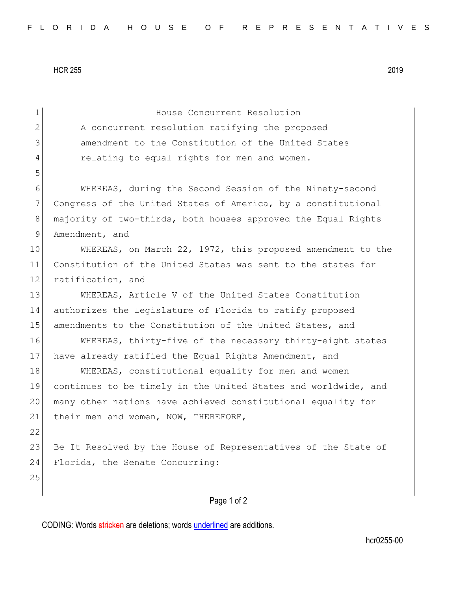HCR 255 2019

| $\mathbf 1$    | House Concurrent Resolution                                    |
|----------------|----------------------------------------------------------------|
| $\mathbf{2}$   | A concurrent resolution ratifying the proposed                 |
| 3              | amendment to the Constitution of the United States             |
| 4              | relating to equal rights for men and women.                    |
| 5              |                                                                |
| 6              | WHEREAS, during the Second Session of the Ninety-second        |
| $7\phantom{.}$ | Congress of the United States of America, by a constitutional  |
| 8              | majority of two-thirds, both houses approved the Equal Rights  |
| 9              | Amendment, and                                                 |
| 10             | WHEREAS, on March 22, 1972, this proposed amendment to the     |
| 11             | Constitution of the United States was sent to the states for   |
| 12             | ratification, and                                              |
| 13             | WHEREAS, Article V of the United States Constitution           |
| 14             | authorizes the Legislature of Florida to ratify proposed       |
| 15             | amendments to the Constitution of the United States, and       |
| 16             | WHEREAS, thirty-five of the necessary thirty-eight states      |
| 17             | have already ratified the Equal Rights Amendment, and          |
| 18             | WHEREAS, constitutional equality for men and women             |
| 19             | continues to be timely in the United States and worldwide, and |
| 20             | many other nations have achieved constitutional equality for   |
| 21             | their men and women, NOW, THEREFORE,                           |
| 22             |                                                                |
| 23             | Be It Resolved by the House of Representatives of the State of |
| 24             | Florida, the Senate Concurring:                                |
| 25             |                                                                |
|                | Page 1 of 2                                                    |
|                |                                                                |

CODING: Words stricken are deletions; words underlined are additions.